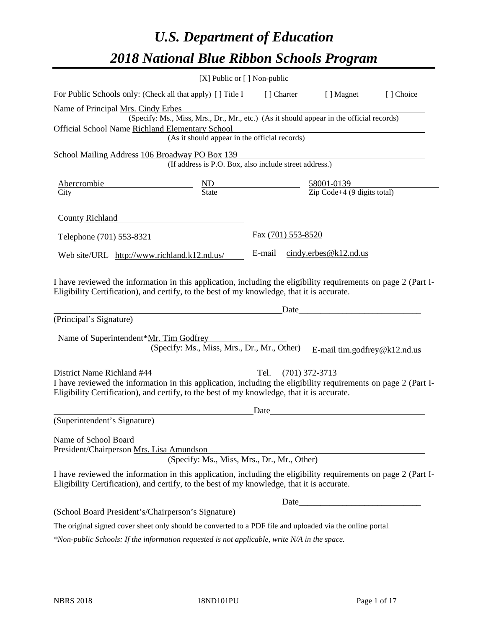# *U.S. Department of Education 2018 National Blue Ribbon Schools Program*

|                                                                                                                                                                                                                                                                                   | $[X]$ Public or $[ ]$ Non-public                                                                                                          |                     |                                                         |            |
|-----------------------------------------------------------------------------------------------------------------------------------------------------------------------------------------------------------------------------------------------------------------------------------|-------------------------------------------------------------------------------------------------------------------------------------------|---------------------|---------------------------------------------------------|------------|
| For Public Schools only: (Check all that apply) [] Title I                                                                                                                                                                                                                        |                                                                                                                                           | [] Charter          | [ ] Magnet                                              | [ ] Choice |
| Name of Principal Mrs. Cindy Erbes<br>Official School Name Richland Elementary School                                                                                                                                                                                             | (Specify: Ms., Miss, Mrs., Dr., Mr., etc.) (As it should appear in the official records)<br>(As it should appear in the official records) |                     |                                                         |            |
| School Mailing Address 106 Broadway PO Box 139                                                                                                                                                                                                                                    | (If address is P.O. Box, also include street address.)                                                                                    |                     |                                                         |            |
| <b>Abercrombie</b><br>City                                                                                                                                                                                                                                                        | $\underline{\text{ND}}$<br>State                                                                                                          |                     | $\frac{58001-0139}{\text{Zip Code}+4 (9 digits total)}$ |            |
| County Richland                                                                                                                                                                                                                                                                   |                                                                                                                                           |                     |                                                         |            |
| Telephone (701) 553-8321                                                                                                                                                                                                                                                          |                                                                                                                                           | Fax (701) 553-8520  |                                                         |            |
| Web site/URL http://www.richland.k12.nd.us/                                                                                                                                                                                                                                       |                                                                                                                                           | E-mail              | $cindy.$ erbes@k12.nd.us                                |            |
| I have reviewed the information in this application, including the eligibility requirements on page 2 (Part I-<br>Eligibility Certification), and certify, to the best of my knowledge, that it is accurate.<br>(Principal's Signature)<br>Name of Superintendent*Mr. Tim Godfrey | (Specify: Ms., Miss, Mrs., Dr., Mr., Other)                                                                                               | Date                | E-mail tim.godfrey@k12.nd.us                            |            |
| District Name Richland #44                                                                                                                                                                                                                                                        |                                                                                                                                           | Tel. (701) 372-3713 |                                                         |            |
| I have reviewed the information in this application, including the eligibility requirements on page 2 (Part I-<br>Eligibility Certification), and certify, to the best of my knowledge, that it is accurate.                                                                      |                                                                                                                                           |                     |                                                         |            |
|                                                                                                                                                                                                                                                                                   |                                                                                                                                           | Date                |                                                         |            |
| (Superintendent's Signature)                                                                                                                                                                                                                                                      |                                                                                                                                           |                     |                                                         |            |
| Name of School Board<br>President/Chairperson Mrs. Lisa Amundson                                                                                                                                                                                                                  | (Specify: Ms., Miss, Mrs., Dr., Mr., Other)                                                                                               |                     |                                                         |            |
| I have reviewed the information in this application, including the eligibility requirements on page 2 (Part I-<br>Eligibility Certification), and certify, to the best of my knowledge, that it is accurate.                                                                      |                                                                                                                                           |                     |                                                         |            |
|                                                                                                                                                                                                                                                                                   |                                                                                                                                           |                     |                                                         |            |
| (School Board President's/Chairperson's Signature)                                                                                                                                                                                                                                |                                                                                                                                           |                     |                                                         |            |
| The original signed cover sheet only should be converted to a PDF file and uploaded via the online portal.                                                                                                                                                                        |                                                                                                                                           |                     |                                                         |            |

*\*Non-public Schools: If the information requested is not applicable, write N/A in the space.*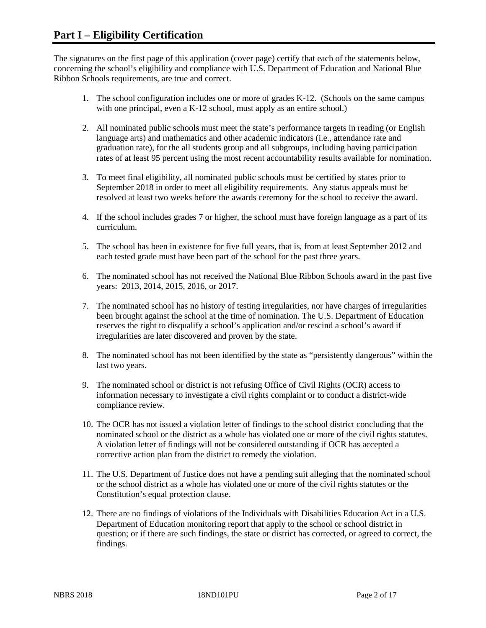The signatures on the first page of this application (cover page) certify that each of the statements below, concerning the school's eligibility and compliance with U.S. Department of Education and National Blue Ribbon Schools requirements, are true and correct.

- 1. The school configuration includes one or more of grades K-12. (Schools on the same campus with one principal, even a K-12 school, must apply as an entire school.)
- 2. All nominated public schools must meet the state's performance targets in reading (or English language arts) and mathematics and other academic indicators (i.e., attendance rate and graduation rate), for the all students group and all subgroups, including having participation rates of at least 95 percent using the most recent accountability results available for nomination.
- 3. To meet final eligibility, all nominated public schools must be certified by states prior to September 2018 in order to meet all eligibility requirements. Any status appeals must be resolved at least two weeks before the awards ceremony for the school to receive the award.
- 4. If the school includes grades 7 or higher, the school must have foreign language as a part of its curriculum.
- 5. The school has been in existence for five full years, that is, from at least September 2012 and each tested grade must have been part of the school for the past three years.
- 6. The nominated school has not received the National Blue Ribbon Schools award in the past five years: 2013, 2014, 2015, 2016, or 2017.
- 7. The nominated school has no history of testing irregularities, nor have charges of irregularities been brought against the school at the time of nomination. The U.S. Department of Education reserves the right to disqualify a school's application and/or rescind a school's award if irregularities are later discovered and proven by the state.
- 8. The nominated school has not been identified by the state as "persistently dangerous" within the last two years.
- 9. The nominated school or district is not refusing Office of Civil Rights (OCR) access to information necessary to investigate a civil rights complaint or to conduct a district-wide compliance review.
- 10. The OCR has not issued a violation letter of findings to the school district concluding that the nominated school or the district as a whole has violated one or more of the civil rights statutes. A violation letter of findings will not be considered outstanding if OCR has accepted a corrective action plan from the district to remedy the violation.
- 11. The U.S. Department of Justice does not have a pending suit alleging that the nominated school or the school district as a whole has violated one or more of the civil rights statutes or the Constitution's equal protection clause.
- 12. There are no findings of violations of the Individuals with Disabilities Education Act in a U.S. Department of Education monitoring report that apply to the school or school district in question; or if there are such findings, the state or district has corrected, or agreed to correct, the findings.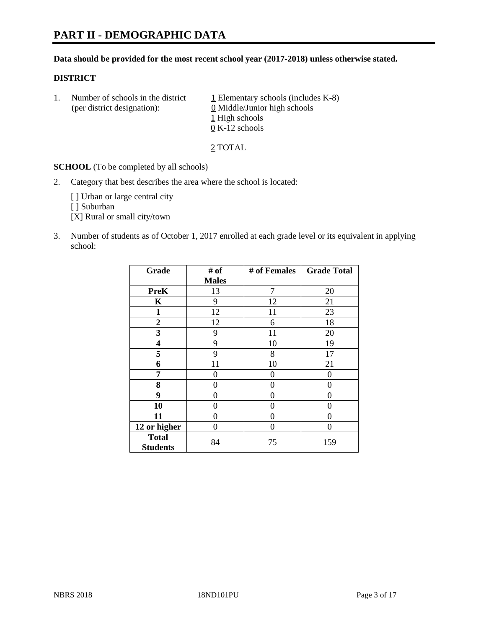## **Data should be provided for the most recent school year (2017-2018) unless otherwise stated.**

## **DISTRICT**

1. Number of schools in the district  $1$  Elementary schools (includes K-8) (per district designation): 0 Middle/Junior high schools 1 High schools 0 K-12 schools

2 TOTAL

**SCHOOL** (To be completed by all schools)

2. Category that best describes the area where the school is located:

[] Urban or large central city

[ ] Suburban

[X] Rural or small city/town

3. Number of students as of October 1, 2017 enrolled at each grade level or its equivalent in applying school:

| Grade                           | # of         | # of Females | <b>Grade Total</b> |
|---------------------------------|--------------|--------------|--------------------|
|                                 | <b>Males</b> |              |                    |
| <b>PreK</b>                     | 13           | 7            | 20                 |
| K                               | 9            | 12           | 21                 |
| $\mathbf{1}$                    | 12           | 11           | 23                 |
| $\overline{2}$                  | 12           | 6            | 18                 |
| 3                               | 9            | 11           | 20                 |
| $\overline{\mathbf{4}}$         | 9            | 10           | 19                 |
| 5                               | 9            | 8            | 17                 |
| 6                               | 11           | 10           | 21                 |
| 7                               | 0            | 0            | 0                  |
| 8                               | 0            | 0            | 0                  |
| 9                               | 0            | 0            | 0                  |
| 10                              | 0            | 0            | 0                  |
| 11                              | 0            | 0            | 0                  |
| 12 or higher                    | 0            | 0            | 0                  |
| <b>Total</b><br><b>Students</b> | 84           | 75           | 159                |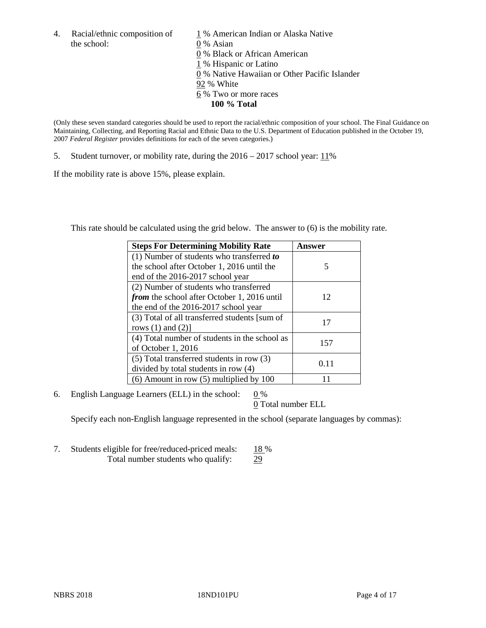the school: 0 % Asian

4. Racial/ethnic composition of  $1\%$  American Indian or Alaska Native 0 % Black or African American 1 % Hispanic or Latino 0 % Native Hawaiian or Other Pacific Islander 92 % White 6 % Two or more races **100 % Total**

(Only these seven standard categories should be used to report the racial/ethnic composition of your school. The Final Guidance on Maintaining, Collecting, and Reporting Racial and Ethnic Data to the U.S. Department of Education published in the October 19, 2007 *Federal Register* provides definitions for each of the seven categories.)

5. Student turnover, or mobility rate, during the 2016 – 2017 school year: 11%

If the mobility rate is above 15%, please explain.

This rate should be calculated using the grid below. The answer to (6) is the mobility rate.

| <b>Steps For Determining Mobility Rate</b>         | Answer |  |
|----------------------------------------------------|--------|--|
| $(1)$ Number of students who transferred to        |        |  |
| the school after October 1, 2016 until the         | 5      |  |
| end of the 2016-2017 school year                   |        |  |
| (2) Number of students who transferred             |        |  |
| <i>from</i> the school after October 1, 2016 until | 12     |  |
| the end of the 2016-2017 school year               |        |  |
| (3) Total of all transferred students [sum of      | 17     |  |
| rows $(1)$ and $(2)$ ]                             |        |  |
| (4) Total number of students in the school as      |        |  |
| of October 1, 2016                                 | 157    |  |
| (5) Total transferred students in row (3)          |        |  |
| divided by total students in row (4)               | 0.11   |  |
| $(6)$ Amount in row $(5)$ multiplied by 100        |        |  |

6. English Language Learners (ELL) in the school:  $0\%$ 

0 Total number ELL

Specify each non-English language represented in the school (separate languages by commas):

7. Students eligible for free/reduced-priced meals: 18 % Total number students who qualify: 29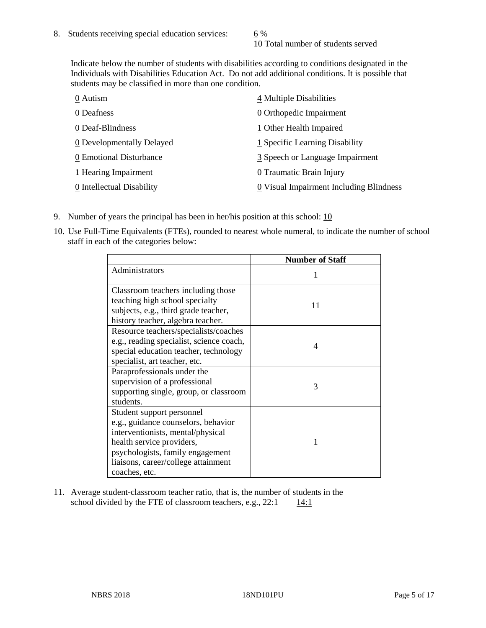10 Total number of students served

Indicate below the number of students with disabilities according to conditions designated in the Individuals with Disabilities Education Act. Do not add additional conditions. It is possible that students may be classified in more than one condition.

| 0 Autism                  | 4 Multiple Disabilities                 |
|---------------------------|-----------------------------------------|
| 0 Deafness                | 0 Orthopedic Impairment                 |
| 0 Deaf-Blindness          | 1 Other Health Impaired                 |
| 0 Developmentally Delayed | 1 Specific Learning Disability          |
| 0 Emotional Disturbance   | 3 Speech or Language Impairment         |
| 1 Hearing Impairment      | 0 Traumatic Brain Injury                |
| 0 Intellectual Disability | 0 Visual Impairment Including Blindness |

- 9. Number of years the principal has been in her/his position at this school: 10
- 10. Use Full-Time Equivalents (FTEs), rounded to nearest whole numeral, to indicate the number of school staff in each of the categories below:

|                                                                                                                                                                                                                                | <b>Number of Staff</b> |
|--------------------------------------------------------------------------------------------------------------------------------------------------------------------------------------------------------------------------------|------------------------|
| Administrators                                                                                                                                                                                                                 |                        |
| Classroom teachers including those<br>teaching high school specialty<br>subjects, e.g., third grade teacher,<br>history teacher, algebra teacher.                                                                              | 11                     |
| Resource teachers/specialists/coaches<br>e.g., reading specialist, science coach,<br>special education teacher, technology<br>specialist, art teacher, etc.                                                                    | 4                      |
| Paraprofessionals under the<br>supervision of a professional<br>supporting single, group, or classroom<br>students.                                                                                                            | 3                      |
| Student support personnel<br>e.g., guidance counselors, behavior<br>interventionists, mental/physical<br>health service providers,<br>psychologists, family engagement<br>liaisons, career/college attainment<br>coaches, etc. | 1                      |

11. Average student-classroom teacher ratio, that is, the number of students in the school divided by the FTE of classroom teachers, e.g.,  $22:1$  14:1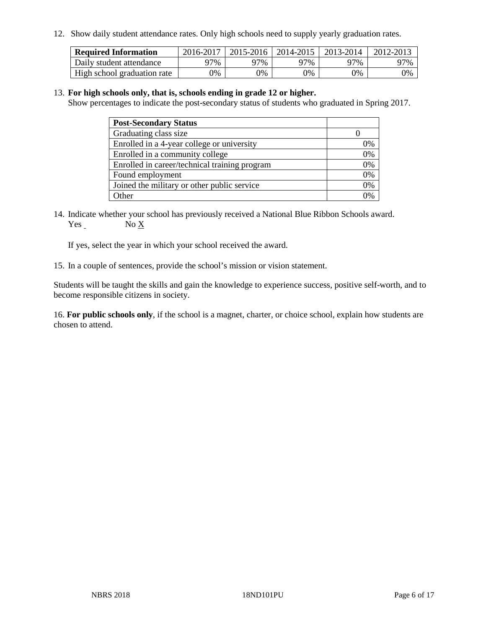12. Show daily student attendance rates. Only high schools need to supply yearly graduation rates.

| <b>Required Information</b> | 2016-2017 | $2015 - 2016$ | 2014-2015 | 2013-2014 | 2012-2013 |
|-----------------------------|-----------|---------------|-----------|-----------|-----------|
| Daily student attendance    | 97%       | 97%           | 97%       | 77%       | 97%       |
| High school graduation rate | 0%        | 0%            | 0%        | 9%        | 9%        |

#### 13. **For high schools only, that is, schools ending in grade 12 or higher.**

Show percentages to indicate the post-secondary status of students who graduated in Spring 2017.

| <b>Post-Secondary Status</b>                  |    |
|-----------------------------------------------|----|
| Graduating class size                         |    |
| Enrolled in a 4-year college or university    | 0% |
| Enrolled in a community college               | 0% |
| Enrolled in career/technical training program | 0% |
| Found employment                              | 0% |
| Joined the military or other public service   | 0% |
| Other                                         | ገ% |

14. Indicate whether your school has previously received a National Blue Ribbon Schools award. Yes No X

If yes, select the year in which your school received the award.

15. In a couple of sentences, provide the school's mission or vision statement.

Students will be taught the skills and gain the knowledge to experience success, positive self-worth, and to become responsible citizens in society.

16. **For public schools only**, if the school is a magnet, charter, or choice school, explain how students are chosen to attend.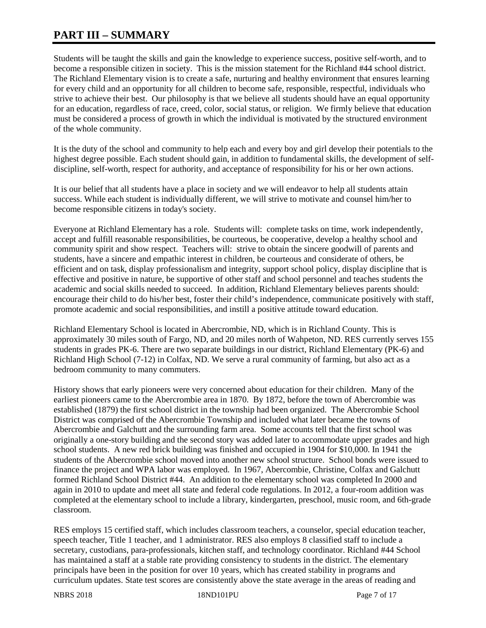# **PART III – SUMMARY**

Students will be taught the skills and gain the knowledge to experience success, positive self-worth, and to become a responsible citizen in society. This is the mission statement for the Richland #44 school district. The Richland Elementary vision is to create a safe, nurturing and healthy environment that ensures learning for every child and an opportunity for all children to become safe, responsible, respectful, individuals who strive to achieve their best. Our philosophy is that we believe all students should have an equal opportunity for an education, regardless of race, creed, color, social status, or religion. We firmly believe that education must be considered a process of growth in which the individual is motivated by the structured environment of the whole community.

It is the duty of the school and community to help each and every boy and girl develop their potentials to the highest degree possible. Each student should gain, in addition to fundamental skills, the development of selfdiscipline, self-worth, respect for authority, and acceptance of responsibility for his or her own actions.

It is our belief that all students have a place in society and we will endeavor to help all students attain success. While each student is individually different, we will strive to motivate and counsel him/her to become responsible citizens in today's society.

Everyone at Richland Elementary has a role. Students will: complete tasks on time, work independently, accept and fulfill reasonable responsibilities, be courteous, be cooperative, develop a healthy school and community spirit and show respect. Teachers will: strive to obtain the sincere goodwill of parents and students, have a sincere and empathic interest in children, be courteous and considerate of others, be efficient and on task, display professionalism and integrity, support school policy, display discipline that is effective and positive in nature, be supportive of other staff and school personnel and teaches students the academic and social skills needed to succeed. In addition, Richland Elementary believes parents should: encourage their child to do his/her best, foster their child's independence, communicate positively with staff, promote academic and social responsibilities, and instill a positive attitude toward education.

Richland Elementary School is located in Abercrombie, ND, which is in Richland County. This is approximately 30 miles south of Fargo, ND, and 20 miles north of Wahpeton, ND. RES currently serves 155 students in grades PK-6. There are two separate buildings in our district, Richland Elementary (PK-6) and Richland High School (7-12) in Colfax, ND. We serve a rural community of farming, but also act as a bedroom community to many commuters.

History shows that early pioneers were very concerned about education for their children. Many of the earliest pioneers came to the Abercrombie area in 1870. By 1872, before the town of Abercrombie was established (1879) the first school district in the township had been organized. The Abercrombie School District was comprised of the Abercrombie Township and included what later became the towns of Abercrombie and Galchutt and the surrounding farm area. Some accounts tell that the first school was originally a one-story building and the second story was added later to accommodate upper grades and high school students. A new red brick building was finished and occupied in 1904 for \$10,000. In 1941 the students of the Abercrombie school moved into another new school structure. School bonds were issued to finance the project and WPA labor was employed. In 1967, Abercombie, Christine, Colfax and Galchutt formed Richland School District #44. An addition to the elementary school was completed In 2000 and again in 2010 to update and meet all state and federal code regulations. In 2012, a four-room addition was completed at the elementary school to include a library, kindergarten, preschool, music room, and 6th-grade classroom.

RES employs 15 certified staff, which includes classroom teachers, a counselor, special education teacher, speech teacher, Title 1 teacher, and 1 administrator. RES also employs 8 classified staff to include a secretary, custodians, para-professionals, kitchen staff, and technology coordinator. Richland #44 School has maintained a staff at a stable rate providing consistency to students in the district. The elementary principals have been in the position for over 10 years, which has created stability in programs and curriculum updates. State test scores are consistently above the state average in the areas of reading and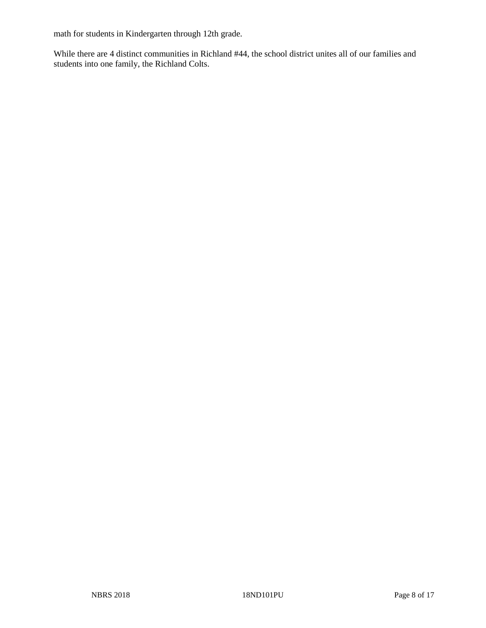math for students in Kindergarten through 12th grade.

While there are 4 distinct communities in Richland #44, the school district unites all of our families and students into one family, the Richland Colts.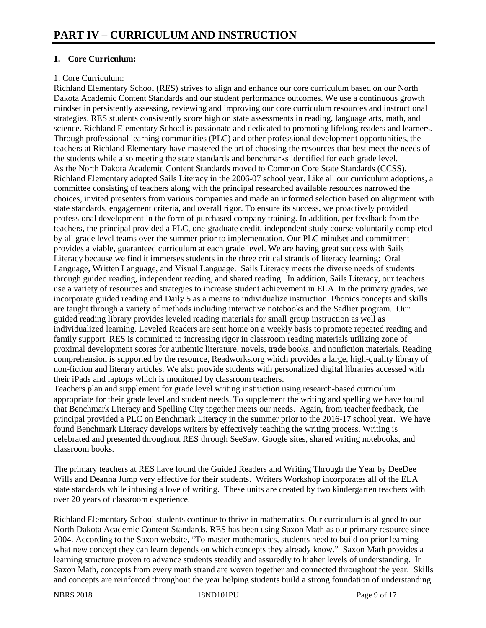# **1. Core Curriculum:**

# 1. Core Curriculum:

Richland Elementary School (RES) strives to align and enhance our core curriculum based on our North Dakota Academic Content Standards and our student performance outcomes. We use a continuous growth mindset in persistently assessing, reviewing and improving our core curriculum resources and instructional strategies. RES students consistently score high on state assessments in reading, language arts, math, and science. Richland Elementary School is passionate and dedicated to promoting lifelong readers and learners. Through professional learning communities (PLC) and other professional development opportunities, the teachers at Richland Elementary have mastered the art of choosing the resources that best meet the needs of the students while also meeting the state standards and benchmarks identified for each grade level. As the North Dakota Academic Content Standards moved to Common Core State Standards (CCSS), Richland Elementary adopted Sails Literacy in the 2006-07 school year. Like all our curriculum adoptions, a committee consisting of teachers along with the principal researched available resources narrowed the choices, invited presenters from various companies and made an informed selection based on alignment with state standards, engagement criteria, and overall rigor. To ensure its success, we proactively provided professional development in the form of purchased company training. In addition, per feedback from the teachers, the principal provided a PLC, one-graduate credit, independent study course voluntarily completed by all grade level teams over the summer prior to implementation. Our PLC mindset and commitment provides a viable, guaranteed curriculum at each grade level. We are having great success with Sails Literacy because we find it immerses students in the three critical strands of literacy learning: Oral Language, Written Language, and Visual Language. Sails Literacy meets the diverse needs of students through guided reading, independent reading, and shared reading. In addition, Sails Literacy, our teachers use a variety of resources and strategies to increase student achievement in ELA. In the primary grades, we incorporate guided reading and Daily 5 as a means to individualize instruction. Phonics concepts and skills are taught through a variety of methods including interactive notebooks and the Sadlier program. Our guided reading library provides leveled reading materials for small group instruction as well as individualized learning. Leveled Readers are sent home on a weekly basis to promote repeated reading and family support. RES is committed to increasing rigor in classroom reading materials utilizing zone of proximal development scores for authentic literature, novels, trade books, and nonfiction materials. Reading comprehension is supported by the resource, Readworks.org which provides a large, high-quality library of non-fiction and literary articles. We also provide students with personalized digital libraries accessed with their iPads and laptops which is monitored by classroom teachers.

Teachers plan and supplement for grade level writing instruction using research-based curriculum appropriate for their grade level and student needs. To supplement the writing and spelling we have found that Benchmark Literacy and Spelling City together meets our needs. Again, from teacher feedback, the principal provided a PLC on Benchmark Literacy in the summer prior to the 2016-17 school year. We have found Benchmark Literacy develops writers by effectively teaching the writing process. Writing is celebrated and presented throughout RES through SeeSaw, Google sites, shared writing notebooks, and classroom books.

The primary teachers at RES have found the Guided Readers and Writing Through the Year by DeeDee Wills and Deanna Jump very effective for their students. Writers Workshop incorporates all of the ELA state standards while infusing a love of writing. These units are created by two kindergarten teachers with over 20 years of classroom experience.

Richland Elementary School students continue to thrive in mathematics. Our curriculum is aligned to our North Dakota Academic Content Standards. RES has been using Saxon Math as our primary resource since 2004. According to the Saxon website, "To master mathematics, students need to build on prior learning – what new concept they can learn depends on which concepts they already know." Saxon Math provides a learning structure proven to advance students steadily and assuredly to higher levels of understanding. In Saxon Math, concepts from every math strand are woven together and connected throughout the year. Skills and concepts are reinforced throughout the year helping students build a strong foundation of understanding.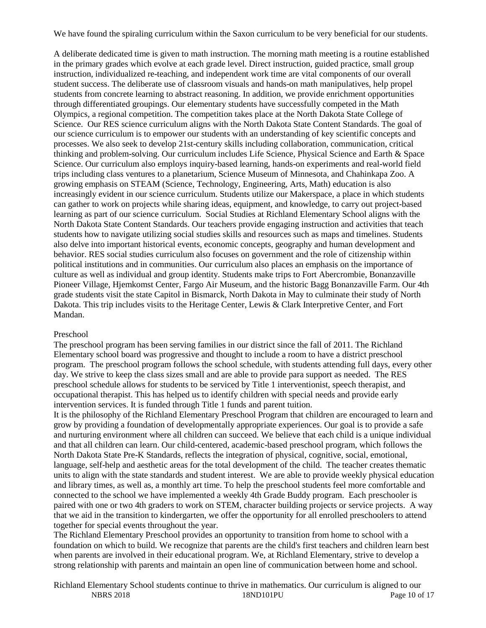We have found the spiraling curriculum within the Saxon curriculum to be very beneficial for our students.

A deliberate dedicated time is given to math instruction. The morning math meeting is a routine established in the primary grades which evolve at each grade level. Direct instruction, guided practice, small group instruction, individualized re-teaching, and independent work time are vital components of our overall student success. The deliberate use of classroom visuals and hands-on math manipulatives, help propel students from concrete learning to abstract reasoning. In addition, we provide enrichment opportunities through differentiated groupings. Our elementary students have successfully competed in the Math Olympics, a regional competition. The competition takes place at the North Dakota State College of Science. Our RES science curriculum aligns with the North Dakota State Content Standards. The goal of our science curriculum is to empower our students with an understanding of key scientific concepts and processes. We also seek to develop 21st-century skills including collaboration, communication, critical thinking and problem-solving. Our curriculum includes Life Science, Physical Science and Earth & Space Science. Our curriculum also employs inquiry-based learning, hands-on experiments and real-world field trips including class ventures to a planetarium, Science Museum of Minnesota, and Chahinkapa Zoo. A growing emphasis on STEAM (Science, Technology, Engineering, Arts, Math) education is also increasingly evident in our science curriculum. Students utilize our Makerspace, a place in which students can gather to work on projects while sharing ideas, equipment, and knowledge, to carry out project-based learning as part of our science curriculum. Social Studies at Richland Elementary School aligns with the North Dakota State Content Standards. Our teachers provide engaging instruction and activities that teach students how to navigate utilizing social studies skills and resources such as maps and timelines. Students also delve into important historical events, economic concepts, geography and human development and behavior. RES social studies curriculum also focuses on government and the role of citizenship within political institutions and in communities. Our curriculum also places an emphasis on the importance of culture as well as individual and group identity. Students make trips to Fort Abercrombie, Bonanzaville Pioneer Village, Hjemkomst Center, Fargo Air Museum, and the historic Bagg Bonanzaville Farm. Our 4th grade students visit the state Capitol in Bismarck, North Dakota in May to culminate their study of North Dakota. This trip includes visits to the Heritage Center, Lewis & Clark Interpretive Center, and Fort Mandan.

#### Preschool

The preschool program has been serving families in our district since the fall of 2011. The Richland Elementary school board was progressive and thought to include a room to have a district preschool program. The preschool program follows the school schedule, with students attending full days, every other day. We strive to keep the class sizes small and are able to provide para support as needed. The RES preschool schedule allows for students to be serviced by Title 1 interventionist, speech therapist, and occupational therapist. This has helped us to identify children with special needs and provide early intervention services. It is funded through Title 1 funds and parent tuition.

It is the philosophy of the Richland Elementary Preschool Program that children are encouraged to learn and grow by providing a foundation of developmentally appropriate experiences. Our goal is to provide a safe and nurturing environment where all children can succeed. We believe that each child is a unique individual and that all children can learn. Our child-centered, academic-based preschool program, which follows the North Dakota State Pre-K Standards, reflects the integration of physical, cognitive, social, emotional, language, self-help and aesthetic areas for the total development of the child. The teacher creates thematic units to align with the state standards and student interest. We are able to provide weekly physical education and library times, as well as, a monthly art time. To help the preschool students feel more comfortable and connected to the school we have implemented a weekly 4th Grade Buddy program. Each preschooler is paired with one or two 4th graders to work on STEM, character building projects or service projects. A way that we aid in the transition to kindergarten, we offer the opportunity for all enrolled preschoolers to attend together for special events throughout the year.

The Richland Elementary Preschool provides an opportunity to transition from home to school with a foundation on which to build. We recognize that parents are the child's first teachers and children learn best when parents are involved in their educational program. We, at Richland Elementary, strive to develop a strong relationship with parents and maintain an open line of communication between home and school.

NBRS 2018 18ND101PU Page 10 of 17 Richland Elementary School students continue to thrive in mathematics. Our curriculum is aligned to our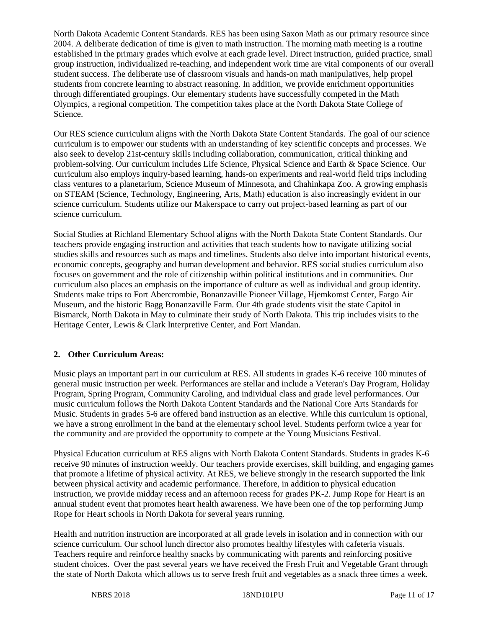North Dakota Academic Content Standards. RES has been using Saxon Math as our primary resource since 2004. A deliberate dedication of time is given to math instruction. The morning math meeting is a routine established in the primary grades which evolve at each grade level. Direct instruction, guided practice, small group instruction, individualized re-teaching, and independent work time are vital components of our overall student success. The deliberate use of classroom visuals and hands-on math manipulatives, help propel students from concrete learning to abstract reasoning. In addition, we provide enrichment opportunities through differentiated groupings. Our elementary students have successfully competed in the Math Olympics, a regional competition. The competition takes place at the North Dakota State College of Science.

Our RES science curriculum aligns with the North Dakota State Content Standards. The goal of our science curriculum is to empower our students with an understanding of key scientific concepts and processes. We also seek to develop 21st-century skills including collaboration, communication, critical thinking and problem-solving. Our curriculum includes Life Science, Physical Science and Earth & Space Science. Our curriculum also employs inquiry-based learning, hands-on experiments and real-world field trips including class ventures to a planetarium, Science Museum of Minnesota, and Chahinkapa Zoo. A growing emphasis on STEAM (Science, Technology, Engineering, Arts, Math) education is also increasingly evident in our science curriculum. Students utilize our Makerspace to carry out project-based learning as part of our science curriculum.

Social Studies at Richland Elementary School aligns with the North Dakota State Content Standards. Our teachers provide engaging instruction and activities that teach students how to navigate utilizing social studies skills and resources such as maps and timelines. Students also delve into important historical events, economic concepts, geography and human development and behavior. RES social studies curriculum also focuses on government and the role of citizenship within political institutions and in communities. Our curriculum also places an emphasis on the importance of culture as well as individual and group identity. Students make trips to Fort Abercrombie, Bonanzaville Pioneer Village, Hjemkomst Center, Fargo Air Museum, and the historic Bagg Bonanzaville Farm. Our 4th grade students visit the state Capitol in Bismarck, North Dakota in May to culminate their study of North Dakota. This trip includes visits to the Heritage Center, Lewis & Clark Interpretive Center, and Fort Mandan.

# **2. Other Curriculum Areas:**

Music plays an important part in our curriculum at RES. All students in grades K-6 receive 100 minutes of general music instruction per week. Performances are stellar and include a Veteran's Day Program, Holiday Program, Spring Program, Community Caroling, and individual class and grade level performances. Our music curriculum follows the North Dakota Content Standards and the National Core Arts Standards for Music. Students in grades 5-6 are offered band instruction as an elective. While this curriculum is optional, we have a strong enrollment in the band at the elementary school level. Students perform twice a year for the community and are provided the opportunity to compete at the Young Musicians Festival.

Physical Education curriculum at RES aligns with North Dakota Content Standards. Students in grades K-6 receive 90 minutes of instruction weekly. Our teachers provide exercises, skill building, and engaging games that promote a lifetime of physical activity. At RES, we believe strongly in the research supported the link between physical activity and academic performance. Therefore, in addition to physical education instruction, we provide midday recess and an afternoon recess for grades PK-2. Jump Rope for Heart is an annual student event that promotes heart health awareness. We have been one of the top performing Jump Rope for Heart schools in North Dakota for several years running.

Health and nutrition instruction are incorporated at all grade levels in isolation and in connection with our science curriculum. Our school lunch director also promotes healthy lifestyles with cafeteria visuals. Teachers require and reinforce healthy snacks by communicating with parents and reinforcing positive student choices. Over the past several years we have received the Fresh Fruit and Vegetable Grant through the state of North Dakota which allows us to serve fresh fruit and vegetables as a snack three times a week.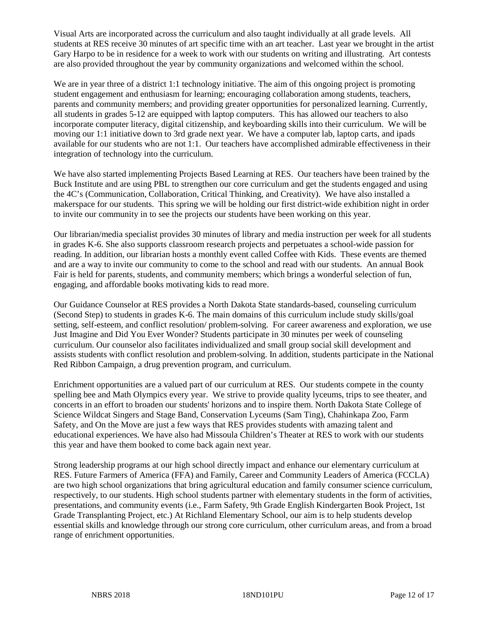Visual Arts are incorporated across the curriculum and also taught individually at all grade levels. All students at RES receive 30 minutes of art specific time with an art teacher. Last year we brought in the artist Gary Harpo to be in residence for a week to work with our students on writing and illustrating. Art contests are also provided throughout the year by community organizations and welcomed within the school.

We are in year three of a district 1:1 technology initiative. The aim of this ongoing project is promoting student engagement and enthusiasm for learning; encouraging collaboration among students, teachers, parents and community members; and providing greater opportunities for personalized learning. Currently, all students in grades 5-12 are equipped with laptop computers. This has allowed our teachers to also incorporate computer literacy, digital citizenship, and keyboarding skills into their curriculum. We will be moving our 1:1 initiative down to 3rd grade next year. We have a computer lab, laptop carts, and ipads available for our students who are not 1:1. Our teachers have accomplished admirable effectiveness in their integration of technology into the curriculum.

We have also started implementing Projects Based Learning at RES. Our teachers have been trained by the Buck Institute and are using PBL to strengthen our core curriculum and get the students engaged and using the 4C's (Communication, Collaboration, Critical Thinking, and Creativity). We have also installed a makerspace for our students. This spring we will be holding our first district-wide exhibition night in order to invite our community in to see the projects our students have been working on this year.

Our librarian/media specialist provides 30 minutes of library and media instruction per week for all students in grades K-6. She also supports classroom research projects and perpetuates a school-wide passion for reading. In addition, our librarian hosts a monthly event called Coffee with Kids. These events are themed and are a way to invite our community to come to the school and read with our students. An annual Book Fair is held for parents, students, and community members; which brings a wonderful selection of fun, engaging, and affordable books motivating kids to read more.

Our Guidance Counselor at RES provides a North Dakota State standards-based, counseling curriculum (Second Step) to students in grades K-6. The main domains of this curriculum include study skills/goal setting, self-esteem, and conflict resolution/ problem-solving. For career awareness and exploration, we use Just Imagine and Did You Ever Wonder? Students participate in 30 minutes per week of counseling curriculum. Our counselor also facilitates individualized and small group social skill development and assists students with conflict resolution and problem-solving. In addition, students participate in the National Red Ribbon Campaign, a drug prevention program, and curriculum.

Enrichment opportunities are a valued part of our curriculum at RES. Our students compete in the county spelling bee and Math Olympics every year. We strive to provide quality lyceums, trips to see theater, and concerts in an effort to broaden our students' horizons and to inspire them. North Dakota State College of Science Wildcat Singers and Stage Band, Conservation Lyceums (Sam Ting), Chahinkapa Zoo, Farm Safety, and On the Move are just a few ways that RES provides students with amazing talent and educational experiences. We have also had Missoula Children's Theater at RES to work with our students this year and have them booked to come back again next year.

Strong leadership programs at our high school directly impact and enhance our elementary curriculum at RES. Future Farmers of America (FFA) and Family, Career and Community Leaders of America (FCCLA) are two high school organizations that bring agricultural education and family consumer science curriculum, respectively, to our students. High school students partner with elementary students in the form of activities, presentations, and community events (i.e., Farm Safety, 9th Grade English Kindergarten Book Project, 1st Grade Transplanting Project, etc.) At Richland Elementary School, our aim is to help students develop essential skills and knowledge through our strong core curriculum, other curriculum areas, and from a broad range of enrichment opportunities.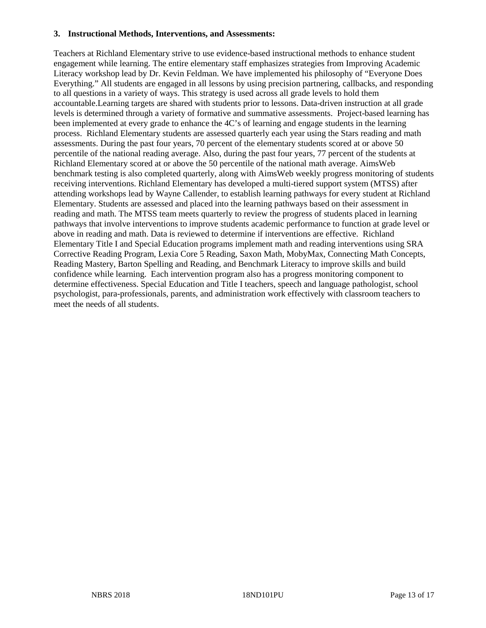#### **3. Instructional Methods, Interventions, and Assessments:**

Teachers at Richland Elementary strive to use evidence-based instructional methods to enhance student engagement while learning. The entire elementary staff emphasizes strategies from Improving Academic Literacy workshop lead by Dr. Kevin Feldman. We have implemented his philosophy of "Everyone Does Everything." All students are engaged in all lessons by using precision partnering, callbacks, and responding to all questions in a variety of ways. This strategy is used across all grade levels to hold them accountable.Learning targets are shared with students prior to lessons. Data-driven instruction at all grade levels is determined through a variety of formative and summative assessments. Project-based learning has been implemented at every grade to enhance the 4C's of learning and engage students in the learning process. Richland Elementary students are assessed quarterly each year using the Stars reading and math assessments. During the past four years, 70 percent of the elementary students scored at or above 50 percentile of the national reading average. Also, during the past four years, 77 percent of the students at Richland Elementary scored at or above the 50 percentile of the national math average. AimsWeb benchmark testing is also completed quarterly, along with AimsWeb weekly progress monitoring of students receiving interventions. Richland Elementary has developed a multi-tiered support system (MTSS) after attending workshops lead by Wayne Callender, to establish learning pathways for every student at Richland Elementary. Students are assessed and placed into the learning pathways based on their assessment in reading and math. The MTSS team meets quarterly to review the progress of students placed in learning pathways that involve interventions to improve students academic performance to function at grade level or above in reading and math. Data is reviewed to determine if interventions are effective. Richland Elementary Title I and Special Education programs implement math and reading interventions using SRA Corrective Reading Program, Lexia Core 5 Reading, Saxon Math, MobyMax, Connecting Math Concepts, Reading Mastery, Barton Spelling and Reading, and Benchmark Literacy to improve skills and build confidence while learning. Each intervention program also has a progress monitoring component to determine effectiveness. Special Education and Title I teachers, speech and language pathologist, school psychologist, para-professionals, parents, and administration work effectively with classroom teachers to meet the needs of all students.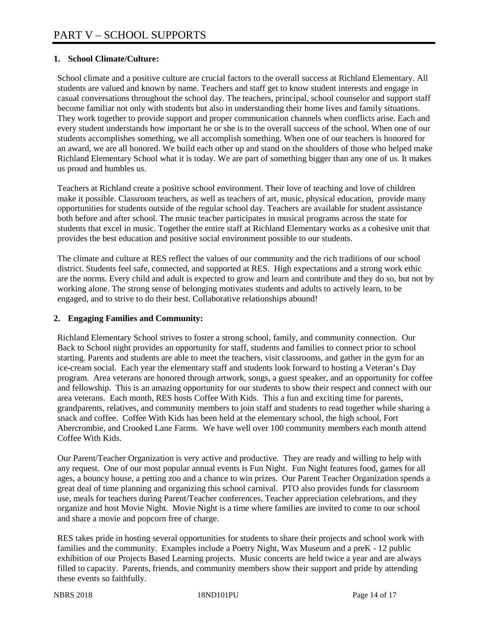# **1. School Climate/Culture:**

School climate and a positive culture are crucial factors to the overall success at Richland Elementary. All students are valued and known by name. Teachers and staff get to know student interests and engage in casual conversations throughout the school day. The teachers, principal, school counselor and support staff become familiar not only with students but also in understanding their home lives and family situations. They work together to provide support and proper communication channels when conflicts arise. Each and every student understands how important he or she is to the overall success of the school. When one of our students accomplishes something, we all accomplish something. When one of our teachers is honored for an award, we are all honored. We build each other up and stand on the shoulders of those who helped make Richland Elementary School what it is today. We are part of something bigger than any one of us. It makes us proud and humbles us.

Teachers at Richland create a positive school environment. Their love of teaching and love of children make it possible. Classroom teachers, as well as teachers of art, music, physical education, provide many opportunities for students outside of the regular school day. Teachers are available for student assistance both before and after school. The music teacher participates in musical programs across the state for students that excel in music. Together the entire staff at Richland Elementary works as a cohesive unit that provides the best education and positive social environment possible to our students.

The climate and culture at RES reflect the values of our community and the rich traditions of our school district. Students feel safe, connected, and supported at RES. High expectations and a strong work ethic are the norms. Every child and adult is expected to grow and learn and contribute and they do so, but not by working alone. The strong sense of belonging motivates students and adults to actively learn, to be engaged, and to strive to do their best. Collaborative relationships abound!

## **2. Engaging Families and Community:**

Richland Elementary School strives to foster a strong school, family, and community connection. Our Back to School night provides an opportunity for staff, students and families to connect prior to school starting. Parents and students are able to meet the teachers, visit classrooms, and gather in the gym for an ice-cream social. Each year the elementary staff and students look forward to hosting a Veteran's Day program. Area veterans are honored through artwork, songs, a guest speaker, and an opportunity for coffee and fellowship. This is an amazing opportunity for our students to show their respect and connect with our area veterans. Each month, RES hosts Coffee With Kids. This a fun and exciting time for parents, grandparents, relatives, and community members to join staff and students to read together while sharing a snack and coffee. Coffee With Kids has been held at the elementary school, the high school, Fort Abercrombie, and Crooked Lane Farms. We have well over 100 community members each month attend Coffee With Kids.

Our Parent/Teacher Organization is very active and productive. They are ready and willing to help with any request. One of our most popular annual events is Fun Night. Fun Night features food, games for all ages, a bouncy house, a petting zoo and a chance to win prizes. Our Parent Teacher Organization spends a great deal of time planning and organizing this school carnival. PTO also provides funds for classroom use, meals for teachers during Parent/Teacher conferences, Teacher appreciation celebrations, and they organize and host Movie Night. Movie Night is a time where families are invited to come to our school and share a movie and popcorn free of charge.

RES takes pride in hosting several opportunities for students to share their projects and school work with families and the community. Examples include a Poetry Night, Wax Museum and a preK - 12 public exhibition of our Projects Based Learning projects. Music concerts are held twice a year and are always filled to capacity. Parents, friends, and community members show their support and pride by attending these events so faithfully.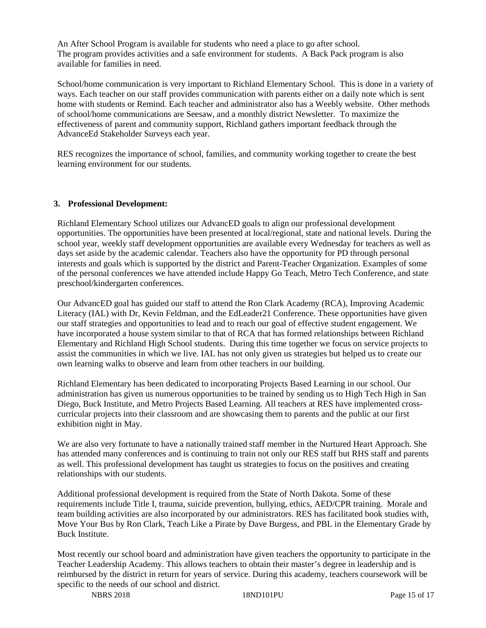An After School Program is available for students who need a place to go after school. The program provides activities and a safe environment for students. A Back Pack program is also available for families in need.

School/home communication is very important to Richland Elementary School. This is done in a variety of ways. Each teacher on our staff provides communication with parents either on a daily note which is sent home with students or Remind. Each teacher and administrator also has a Weebly website. Other methods of school/home communications are Seesaw, and a monthly district Newsletter. To maximize the effectiveness of parent and community support, Richland gathers important feedback through the AdvanceEd Stakeholder Surveys each year.

RES recognizes the importance of school, families, and community working together to create the best learning environment for our students.

#### **3. Professional Development:**

Richland Elementary School utilizes our AdvancED goals to align our professional development opportunities. The opportunities have been presented at local/regional, state and national levels. During the school year, weekly staff development opportunities are available every Wednesday for teachers as well as days set aside by the academic calendar. Teachers also have the opportunity for PD through personal interests and goals which is supported by the district and Parent-Teacher Organization. Examples of some of the personal conferences we have attended include Happy Go Teach, Metro Tech Conference, and state preschool/kindergarten conferences.

Our AdvancED goal has guided our staff to attend the Ron Clark Academy (RCA), Improving Academic Literacy (IAL) with Dr, Kevin Feldman, and the EdLeader21 Conference. These opportunities have given our staff strategies and opportunities to lead and to reach our goal of effective student engagement. We have incorporated a house system similar to that of RCA that has formed relationships between Richland Elementary and Richland High School students. During this time together we focus on service projects to assist the communities in which we live. IAL has not only given us strategies but helped us to create our own learning walks to observe and learn from other teachers in our building.

Richland Elementary has been dedicated to incorporating Projects Based Learning in our school. Our administration has given us numerous opportunities to be trained by sending us to High Tech High in San Diego, Buck Institute, and Metro Projects Based Learning. All teachers at RES have implemented crosscurricular projects into their classroom and are showcasing them to parents and the public at our first exhibition night in May.

We are also very fortunate to have a nationally trained staff member in the Nurtured Heart Approach. She has attended many conferences and is continuing to train not only our RES staff but RHS staff and parents as well. This professional development has taught us strategies to focus on the positives and creating relationships with our students.

Additional professional development is required from the State of North Dakota. Some of these requirements include Title I, trauma, suicide prevention, bullying, ethics, AED/CPR training. Morale and team building activities are also incorporated by our administrators. RES has facilitated book studies with, Move Your Bus by Ron Clark, Teach Like a Pirate by Dave Burgess, and PBL in the Elementary Grade by Buck Institute.

Most recently our school board and administration have given teachers the opportunity to participate in the Teacher Leadership Academy. This allows teachers to obtain their master's degree in leadership and is reimbursed by the district in return for years of service. During this academy, teachers coursework will be specific to the needs of our school and district.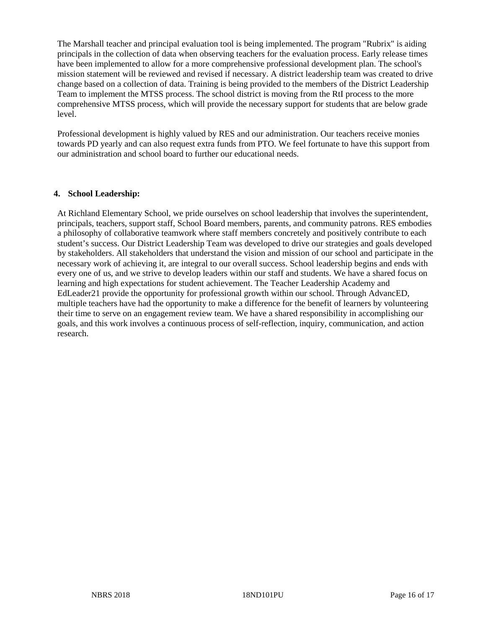The Marshall teacher and principal evaluation tool is being implemented. The program "Rubrix" is aiding principals in the collection of data when observing teachers for the evaluation process. Early release times have been implemented to allow for a more comprehensive professional development plan. The school's mission statement will be reviewed and revised if necessary. A district leadership team was created to drive change based on a collection of data. Training is being provided to the members of the District Leadership Team to implement the MTSS process. The school district is moving from the RtI process to the more comprehensive MTSS process, which will provide the necessary support for students that are below grade level.

Professional development is highly valued by RES and our administration. Our teachers receive monies towards PD yearly and can also request extra funds from PTO. We feel fortunate to have this support from our administration and school board to further our educational needs.

#### **4. School Leadership:**

At Richland Elementary School, we pride ourselves on school leadership that involves the superintendent, principals, teachers, support staff, School Board members, parents, and community patrons. RES embodies a philosophy of collaborative teamwork where staff members concretely and positively contribute to each student's success. Our District Leadership Team was developed to drive our strategies and goals developed by stakeholders. All stakeholders that understand the vision and mission of our school and participate in the necessary work of achieving it, are integral to our overall success. School leadership begins and ends with every one of us, and we strive to develop leaders within our staff and students. We have a shared focus on learning and high expectations for student achievement. The Teacher Leadership Academy and EdLeader21 provide the opportunity for professional growth within our school. Through AdvancED, multiple teachers have had the opportunity to make a difference for the benefit of learners by volunteering their time to serve on an engagement review team. We have a shared responsibility in accomplishing our goals, and this work involves a continuous process of self-reflection, inquiry, communication, and action research.